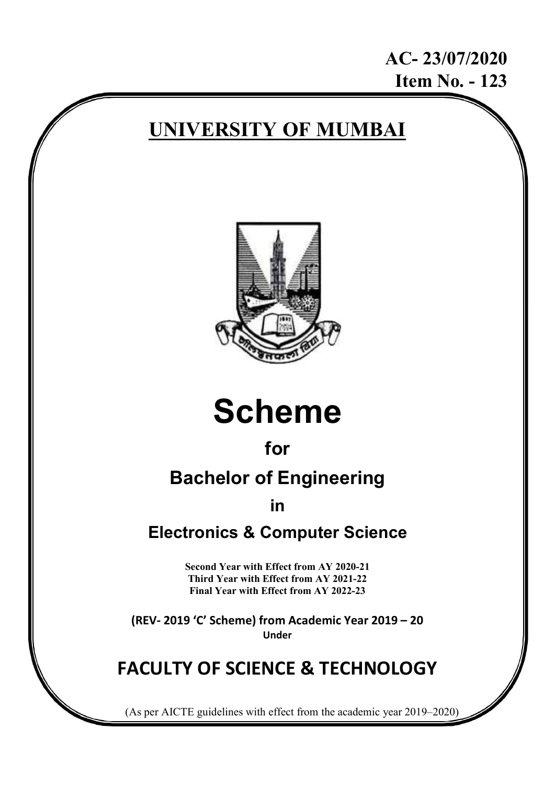AC- 23/07/2020 Item No. - 123

# UNIVERSITY OF MUMBAI



# Scheme

# for

# Bachelor of Engineering

in

# Electronics & Computer Science

Second Year with Effect from AY 2020-21 Third Year with Effect from AY 2021-22 Final Year with Effect from AY 2022-23

(REV- 2019 'C' Scheme) from Academic Year 2019 – 20 Under

# FACULTY OF SCIENCE & TECHNOLOGY

(As per AICTE guidelines with effect from the academic year 2019–2020)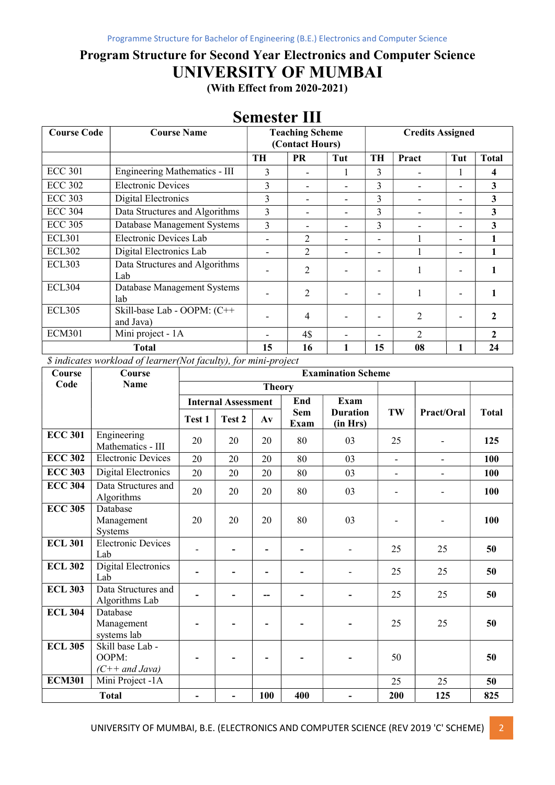## Program Structure for Second Year Electronics and Computer Science UNIVERSITY OF MUMBAI

(With Effect from 2020-2021)

| <b>Course Code</b> | <b>Course Name</b>                       |                | <b>Teaching Scheme</b><br>(Contact Hours) |     | <b>Credits Assigned</b> |                             |                          |              |
|--------------------|------------------------------------------|----------------|-------------------------------------------|-----|-------------------------|-----------------------------|--------------------------|--------------|
|                    |                                          | TH             | <b>PR</b>                                 | Tut | <b>TH</b>               | Pract                       | Tut                      | <b>Total</b> |
| <b>ECC 301</b>     | Engineering Mathematics - III            | $\mathbf{3}$   |                                           | 1   | 3                       |                             |                          | 4            |
| <b>ECC 302</b>     | <b>Electronic Devices</b>                | 3              |                                           |     | 3                       |                             | ۰                        | 3            |
| <b>ECC 303</b>     | Digital Electronics                      | 3              |                                           | ۰   | 3                       |                             | ۰                        | 3            |
| <b>ECC 304</b>     | Data Structures and Algorithms           | 3              |                                           |     | 3                       |                             | $\blacksquare$           | $\mathbf{3}$ |
| <b>ECC 305</b>     | Database Management Systems              | $\overline{3}$ |                                           | ۰   | $\overline{3}$          |                             | $\blacksquare$           | 3            |
| <b>ECL301</b>      | Electronic Devices Lab                   |                | $\overline{2}$                            |     | $\blacksquare$          |                             | ۰                        |              |
| <b>ECL302</b>      | Digital Electronics Lab                  |                | $\overline{2}$                            |     | ۰                       |                             | $\blacksquare$           |              |
| <b>ECL303</b>      | Data Structures and Algorithms<br>Lab    |                | 2                                         |     |                         |                             |                          |              |
| <b>ECL304</b>      | Database Management Systems<br>lab       |                | 2                                         |     |                         |                             | $\overline{\phantom{0}}$ |              |
| <b>ECL305</b>      | Skill-base Lab - OOPM: (C++<br>and Java) |                | 4                                         |     |                         | 2                           |                          |              |
| <b>ECM301</b>      | Mini project - 1A                        |                | 4\$                                       |     | ۰                       | $\mathcal{D}_{\mathcal{L}}$ |                          | 2            |
|                    | <b>Total</b>                             | 15             | 16                                        |     | 15                      | 08                          |                          | 24           |

### Semester III

\$ indicates workload of learner(Not faculty), for mini-project

| Course         | Course                                        | <b>Examination Scheme</b> |                            |               |                    |                             |                          |                          |              |  |
|----------------|-----------------------------------------------|---------------------------|----------------------------|---------------|--------------------|-----------------------------|--------------------------|--------------------------|--------------|--|
| Code           | Name                                          |                           |                            | <b>Theory</b> |                    |                             |                          |                          |              |  |
|                |                                               |                           | <b>Internal Assessment</b> |               | End                | <b>Exam</b>                 |                          |                          |              |  |
|                |                                               | Test 1                    | Test 2                     | $A\mathbf{v}$ | <b>Sem</b><br>Exam | <b>Duration</b><br>(in Hrs) | TW                       | Pract/Oral               | <b>Total</b> |  |
| <b>ECC 301</b> | Engineering<br>Mathematics - III              | 20                        | 20                         | 20            | 80                 | 03                          | 25                       |                          | 125          |  |
| <b>ECC 302</b> | <b>Electronic Devices</b>                     | 20                        | 20                         | 20            | 80                 | 03                          | $\overline{\phantom{a}}$ | $\overline{\phantom{a}}$ | 100          |  |
| <b>ECC 303</b> | <b>Digital Electronics</b>                    | 20                        | 20                         | 20            | 80                 | 03                          | $\overline{\phantom{a}}$ | $\overline{\phantom{a}}$ | 100          |  |
| <b>ECC 304</b> | Data Structures and<br>Algorithms             | 20                        | 20                         | 20            | 80                 | 03                          | ۰                        |                          | 100          |  |
| <b>ECC 305</b> | Database<br>Management<br>Systems             | 20                        | 20                         | 20            | 80                 | 03                          |                          |                          | 100          |  |
| <b>ECL 301</b> | Electronic Devices<br>Lab                     |                           | $\blacksquare$             |               |                    |                             | 25                       | 25                       | 50           |  |
| <b>ECL 302</b> | Digital Electronics<br>Lab                    |                           | -                          |               |                    |                             | 25                       | 25                       | 50           |  |
| <b>ECL 303</b> | Data Structures and<br>Algorithms Lab         |                           | $\overline{\phantom{0}}$   | --            |                    |                             | 25                       | 25                       | 50           |  |
| <b>ECL 304</b> | Database<br>Management<br>systems lab         | $\overline{\phantom{0}}$  | $\overline{\phantom{a}}$   |               |                    | $\overline{\phantom{a}}$    | 25                       | 25                       | 50           |  |
| <b>ECL 305</b> | Skill base Lab -<br>OOPM:<br>$(C++ and Java)$ |                           |                            |               |                    |                             | 50                       |                          | 50           |  |
| <b>ECM301</b>  | Mini Project -1A                              |                           |                            |               |                    |                             | 25                       | 25                       | 50           |  |
|                | <b>Total</b>                                  |                           | -                          | 100           | 400                | -                           | 200                      | 125                      | 825          |  |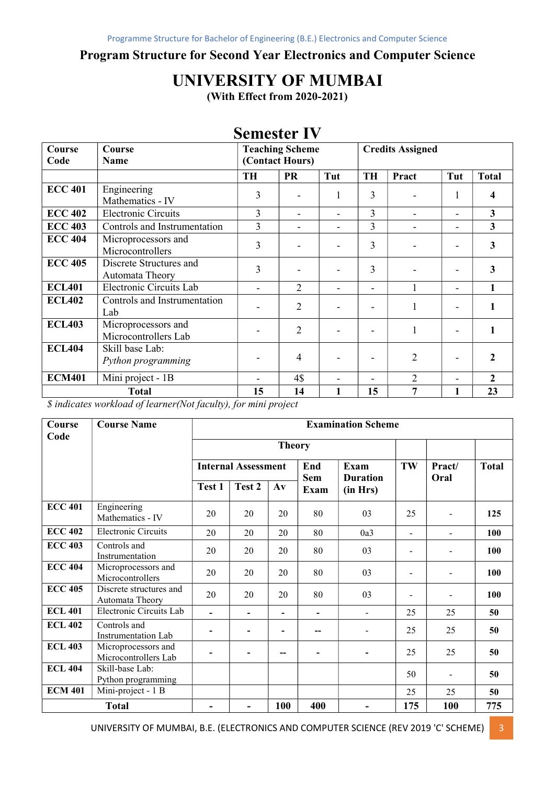#### Program Structure for Second Year Electronics and Computer Science

# UNIVERSITY OF MUMBAI

(With Effect from 2020-2021)

### Semester IV

| Course<br>Code | Course<br>Name                              |           | <b>Teaching Scheme</b><br><b>Credits Assigned</b><br>(Contact Hours) |     |                          |                |     |              |
|----------------|---------------------------------------------|-----------|----------------------------------------------------------------------|-----|--------------------------|----------------|-----|--------------|
|                |                                             | <b>TH</b> | <b>PR</b>                                                            | Tut | <b>TH</b>                | Pract          | Tut | <b>Total</b> |
| <b>ECC 401</b> | Engineering<br>Mathematics - IV             | 3         |                                                                      |     | 3                        |                |     | 4            |
| <b>ECC 402</b> | <b>Electronic Circuits</b>                  | 3         |                                                                      |     | 3                        |                |     | 3            |
| <b>ECC 403</b> | Controls and Instrumentation                | 3         |                                                                      |     | 3                        |                |     | 3            |
| <b>ECC 404</b> | Microprocessors and<br>Microcontrollers     | 3         |                                                                      |     | 3                        |                |     | $\mathbf{3}$ |
| <b>ECC 405</b> | Discrete Structures and<br>Automata Theory  | 3         |                                                                      |     | 3                        |                |     | $\mathbf{3}$ |
| <b>ECL401</b>  | Electronic Circuits Lab                     |           | $\overline{2}$                                                       |     | -                        |                |     | 1            |
| <b>ECL402</b>  | Controls and Instrumentation<br>Lab         |           | $\overline{2}$                                                       |     |                          |                |     |              |
| <b>ECL403</b>  | Microprocessors and<br>Microcontrollers Lab |           | 2                                                                    |     | $\overline{\phantom{0}}$ |                |     |              |
| <b>ECL404</b>  | Skill base Lab:<br>Python programming       |           | $\overline{4}$                                                       |     | $\overline{\phantom{0}}$ | 2              |     | 2            |
| <b>ECM401</b>  | Mini project - 1B                           |           | 4\$                                                                  |     |                          | $\mathfrak{D}$ |     | $\mathbf{2}$ |
|                | <b>Total</b>                                | 15        | 14                                                                   |     | 15                       | 7              | 1   | 23           |

\$ indicates workload of learner(Not faculty), for mini project

| Course<br>Code | <b>Course Name</b>                          | <b>Examination Scheme</b> |                            |                          |                   |                                |                          |                |              |  |
|----------------|---------------------------------------------|---------------------------|----------------------------|--------------------------|-------------------|--------------------------------|--------------------------|----------------|--------------|--|
|                |                                             |                           |                            | <b>Theory</b>            |                   |                                |                          |                |              |  |
|                |                                             |                           | <b>Internal Assessment</b> |                          | End<br><b>Sem</b> | <b>Exam</b><br><b>Duration</b> | TW                       | Pract/<br>Oral | <b>Total</b> |  |
|                |                                             | Test 1                    | Test 2                     | $A\mathbf{v}$            | Exam              | (in Hrs)                       |                          |                |              |  |
| <b>ECC 401</b> | Engineering<br>Mathematics - IV             | 20                        | 20                         | 20                       | 80                | 03                             | 25                       |                | 125          |  |
| <b>ECC 402</b> | <b>Electronic Circuits</b>                  | 20                        | 20                         | 20                       | 80                | 0a3                            | $\overline{\phantom{a}}$ |                | 100          |  |
| <b>ECC 403</b> | Controls and<br>Instrumentation             | 20                        | 20                         | 20                       | 80                | 03                             | $\overline{a}$           |                | 100          |  |
| <b>ECC 404</b> | Microprocessors and<br>Microcontrollers     | 20                        | 20                         | 20                       | 80                | 03                             | $\overline{a}$           |                | 100          |  |
| <b>ECC 405</b> | Discrete structures and<br>Automata Theory  | 20                        | 20                         | 20                       | 80                | 03                             | $\overline{\phantom{a}}$ |                | 100          |  |
| <b>ECL 401</b> | Electronic Circuits Lab                     | $\blacksquare$            | -                          | $\overline{\phantom{0}}$ |                   | $\mathbf{r}$                   | 25                       | 25             | 50           |  |
| <b>ECL 402</b> | Controls and<br>Instrumentation Lab         |                           |                            | $\overline{\phantom{0}}$ | --                |                                | 25                       | 25             | 50           |  |
| <b>ECL 403</b> | Microprocessors and<br>Microcontrollers Lab |                           |                            | --                       |                   |                                | 25                       | 25             | 50           |  |
| <b>ECL 404</b> | Skill-base Lab:<br>Python programming       |                           |                            |                          |                   |                                | 50                       |                | 50           |  |
| <b>ECM 401</b> | Mini-project - 1 B                          |                           |                            |                          |                   |                                | 25                       | 25             | 50           |  |
|                | <b>Total</b>                                |                           |                            | 100                      | 400               |                                | 175                      | 100            | 775          |  |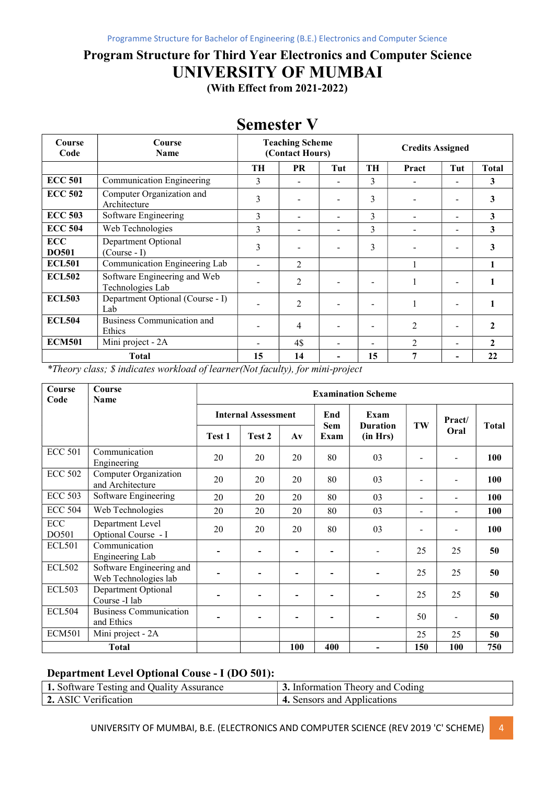# Program Structure for Third Year Electronics and Computer Science UNIVERSITY OF MUMBAI

(With Effect from 2021-2022)

| Course<br>Code             | Course<br><b>Name</b>                            |    | <b>Teaching Scheme</b><br>(Contact Hours) |                              | <b>Credits Assigned</b>  |                             |     |              |
|----------------------------|--------------------------------------------------|----|-------------------------------------------|------------------------------|--------------------------|-----------------------------|-----|--------------|
|                            |                                                  | TH | <b>PR</b>                                 | Tut                          | TH                       | Pract                       | Tut | Total        |
| <b>ECC 501</b>             | Communication Engineering                        | 3  |                                           |                              | 3                        |                             |     | 3            |
| <b>ECC 502</b>             | Computer Organization and<br>Architecture        | 3  |                                           |                              | 3                        |                             |     | 3            |
| <b>ECC 503</b>             | Software Engineering                             | 3  |                                           |                              | 3                        |                             |     | 3            |
| <b>ECC 504</b>             | Web Technologies                                 | 3  |                                           | $\qquad \qquad \blacksquare$ | 3                        |                             |     | 3            |
| <b>ECC</b><br><b>DO501</b> | Department Optional<br>$(Course - I)$            | 3  |                                           |                              | 3                        |                             |     | 3            |
| <b>ECL501</b>              | Communication Engineering Lab                    |    | $\overline{2}$                            |                              |                          |                             |     |              |
| <b>ECL502</b>              | Software Engineering and Web<br>Technologies Lab |    | 2                                         |                              |                          |                             |     |              |
| <b>ECL503</b>              | Department Optional (Course - I)<br>Lab          |    | 2                                         |                              |                          |                             |     |              |
| <b>ECL504</b>              | <b>Business Communication and</b><br>Ethics      |    | $\overline{4}$                            |                              |                          | $\mathfrak{D}$              |     | $\mathbf{2}$ |
| <b>ECM501</b>              | Mini project - 2A                                |    | 4\$                                       |                              | $\overline{\phantom{0}}$ | $\mathcal{D}_{\mathcal{A}}$ |     | $\mathbf{2}$ |
|                            | <b>Total</b>                                     | 15 | 14                                        |                              | 15                       | 7                           |     | 22           |

### Semester V

\*Theory class; \$ indicates workload of learner(Not faculty), for mini-project

| Course<br>Code                | Course<br><b>Name</b>                            | <b>Examination Scheme</b> |                            |                          |                    |                             |                          |                          |              |  |
|-------------------------------|--------------------------------------------------|---------------------------|----------------------------|--------------------------|--------------------|-----------------------------|--------------------------|--------------------------|--------------|--|
|                               |                                                  |                           | <b>Internal Assessment</b> |                          | End                | Exam                        |                          | Pract/                   |              |  |
|                               |                                                  | Test 1                    | Test 2                     | $A\mathbf{v}$            | <b>Sem</b><br>Exam | <b>Duration</b><br>(in Hrs) | TW                       | Oral                     | <b>Total</b> |  |
| <b>ECC 501</b>                | Communication<br>Engineering                     | 20                        | 20                         | 20                       | 80                 | 03                          | $\overline{\phantom{a}}$ |                          | 100          |  |
| <b>ECC 502</b>                | Computer Organization<br>and Architecture        | 20                        | 20                         | 20                       | 80                 | 03                          |                          |                          | 100          |  |
| <b>ECC 503</b>                | Software Engineering                             | 20                        | 20                         | 20                       | 80                 | 03                          | $\blacksquare$           |                          | 100          |  |
| <b>ECC 504</b>                | Web Technologies                                 | 20                        | 20                         | 20                       | 80                 | 03                          | $\overline{\phantom{a}}$ |                          | 100          |  |
| $\operatorname{ECC}$<br>DO501 | Department Level<br>Optional Course - I          | 20                        | 20                         | 20                       | 80                 | 03                          | $\overline{\phantom{a}}$ | $\overline{\phantom{a}}$ | 100          |  |
| <b>ECL501</b>                 | Communication<br>Engineering Lab                 |                           | $\overline{\phantom{0}}$   | $\blacksquare$           |                    |                             | 25                       | 25                       | 50           |  |
| <b>ECL502</b>                 | Software Engineering and<br>Web Technologies lab |                           | -                          | $\blacksquare$           |                    | -                           | 25                       | 25                       | 50           |  |
| <b>ECL503</b>                 | Department Optional<br>Course -I lab             |                           | $\overline{\phantom{0}}$   | $\overline{\phantom{a}}$ |                    | $\blacksquare$              | 25                       | 25                       | 50           |  |
| <b>ECL504</b>                 | <b>Business Communication</b><br>and Ethics      |                           | ۰                          | $\overline{\phantom{a}}$ |                    | $\blacksquare$              | 50                       | $\overline{\phantom{a}}$ | 50           |  |
| <b>ECM501</b>                 | Mini project - 2A                                |                           |                            |                          |                    |                             | 25                       | 25                       | 50           |  |
|                               | <b>Total</b>                                     |                           |                            | 100                      | 400                |                             | 150                      | 100                      | 750          |  |

#### Department Level Optional Couse - I (DO 501):

| 1. Software Testing and Quality Assurance | 3. Information Theory and Coding |
|-------------------------------------------|----------------------------------|
| 2. ASIC Verification                      | 4. Sensors and Applications      |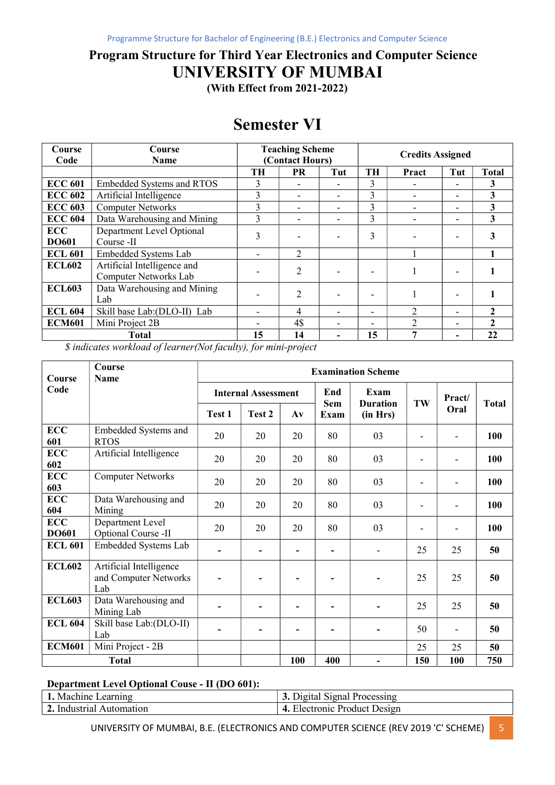### Program Structure for Third Year Electronics and Computer Science UNIVERSITY OF MUMBAI

(With Effect from 2021-2022)

# Semester VI

| Course<br>Code             | Course<br><b>Name</b>                                |    | <b>Teaching Scheme</b><br>(Contact Hours) |     | <b>Credits Assigned</b>  |       |     |              |
|----------------------------|------------------------------------------------------|----|-------------------------------------------|-----|--------------------------|-------|-----|--------------|
|                            |                                                      | TН | <b>PR</b>                                 | Tut | TH                       | Pract | Tut | <b>Total</b> |
| <b>ECC 601</b>             | <b>Embedded Systems and RTOS</b>                     | 3  |                                           |     | 3                        |       |     | 3            |
| <b>ECC 602</b>             | Artificial Intelligence                              | 3  | $\overline{\phantom{0}}$                  | -   | 3                        |       |     | 3            |
| <b>ECC 603</b>             | <b>Computer Networks</b>                             | 3  |                                           | -   | 3                        |       |     | 3            |
| <b>ECC 604</b>             | Data Warehousing and Mining                          | 3  |                                           |     | 3                        |       |     | 3            |
| <b>ECC</b><br><b>DO601</b> | Department Level Optional<br>Course -II              | 3  |                                           |     | 3                        |       |     |              |
| <b>ECL 601</b>             | Embedded Systems Lab                                 |    | 2                                         |     |                          |       |     |              |
| <b>ECL602</b>              | Artificial Intelligence and<br>Computer Networks Lab |    | $\overline{2}$                            |     | $\overline{\phantom{0}}$ |       |     |              |
| <b>ECL603</b>              | Data Warehousing and Mining<br>Lab                   |    | 2                                         |     | $\overline{\phantom{a}}$ |       |     |              |
| <b>ECL 604</b>             | Skill base Lab: (DLO-II) Lab                         |    | 4                                         |     | $\overline{\phantom{a}}$ |       |     | 2            |
| <b>ECM601</b>              | Mini Project 2B                                      |    | 4\$                                       | -   | ۰                        | C     |     | 2            |
|                            | <b>Total</b>                                         | 15 | 14                                        |     | 15                       |       |     | 22           |

\$ indicates workload of learner(Not faculty), for mini-project

| <b>Course</b>              | Course<br><b>Name</b>                                   |        | <b>Examination Scheme</b>  |                          |                   |                         |                          |        |              |  |  |
|----------------------------|---------------------------------------------------------|--------|----------------------------|--------------------------|-------------------|-------------------------|--------------------------|--------|--------------|--|--|
| Code                       |                                                         |        | <b>Internal Assessment</b> |                          | End<br><b>Sem</b> | Exam<br><b>Duration</b> | TW                       | Pract/ | <b>Total</b> |  |  |
|                            |                                                         | Test 1 | Test 2                     | $A\mathbf{v}$            | Exam              | (in Hrs)                |                          | Oral   |              |  |  |
| <b>ECC</b><br>601          | Embedded Systems and<br><b>RTOS</b>                     | 20     | 20                         | 20                       | 80                | 03                      |                          |        | 100          |  |  |
| <b>ECC</b><br>602          | Artificial Intelligence                                 | 20     | 20                         | 20                       | 80                | 03                      | $\overline{\phantom{a}}$ |        | 100          |  |  |
| <b>ECC</b><br>603          | <b>Computer Networks</b>                                | 20     | 20                         | 20                       | 80                | 03                      | $\overline{\phantom{a}}$ |        | 100          |  |  |
| <b>ECC</b><br>604          | Data Warehousing and<br>Mining                          | 20     | 20                         | 20                       | 80                | 03                      | $\overline{\phantom{a}}$ |        | 100          |  |  |
| <b>ECC</b><br><b>DO601</b> | Department Level<br>Optional Course -II                 | 20     | 20                         | 20                       | 80                | 03                      | ٠                        |        | 100          |  |  |
| <b>ECL 601</b>             | Embedded Systems Lab                                    | -      | $\overline{\phantom{a}}$   | $\overline{\phantom{a}}$ | $\blacksquare$    | ۰                       | 25                       | 25     | 50           |  |  |
| <b>ECL602</b>              | Artificial Intelligence<br>and Computer Networks<br>Lab |        |                            | $\blacksquare$           |                   |                         | 25                       | 25     | 50           |  |  |
| <b>ECL603</b>              | Data Warehousing and<br>Mining Lab                      |        |                            |                          |                   |                         | 25                       | 25     | 50           |  |  |
| <b>ECL 604</b>             | Skill base Lab: (DLO-II)<br>Lab                         |        | $\overline{\phantom{a}}$   | $\overline{\phantom{a}}$ | $\blacksquare$    |                         | 50                       |        | 50           |  |  |
| <b>ECM601</b>              | Mini Project - 2B                                       |        |                            |                          |                   |                         | 25                       | 25     | 50           |  |  |
|                            | <b>Total</b>                                            |        |                            | 100                      | 400               |                         | 150                      | 100    | 750          |  |  |

#### Department Level Optional Couse - II (DO 601):

| . Machine .<br>earning           | 3.<br><b>Processing</b><br>Jigital.<br>Sional       |
|----------------------------------|-----------------------------------------------------|
| -<br>. Industrial.<br>vutomation | Jesign<br>$\Delta$<br><b>Product</b><br>Llectronic. |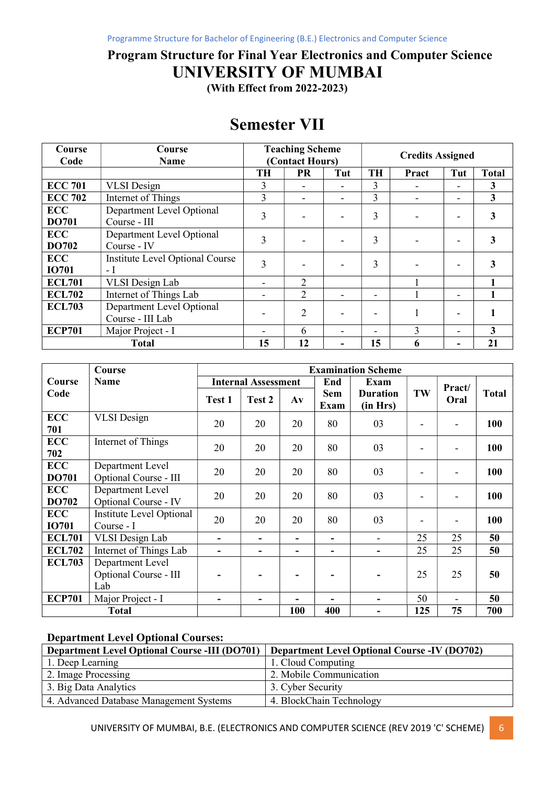### Program Structure for Final Year Electronics and Computer Science UNIVERSITY OF MUMBAI

(With Effect from 2022-2023)

| Course<br>Code             | Course<br><b>Name</b>                         |           | <b>Teaching Scheme</b><br>(Contact Hours) |     | <b>Credits Assigned</b> |       |     |              |
|----------------------------|-----------------------------------------------|-----------|-------------------------------------------|-----|-------------------------|-------|-----|--------------|
|                            |                                               | <b>TH</b> | <b>PR</b>                                 | Tut | <b>TH</b>               | Pract | Tut | <b>Total</b> |
| <b>ECC 701</b>             | <b>VLSI</b> Design                            | 3         |                                           |     | 3                       |       |     | 3            |
| <b>ECC 702</b>             | Internet of Things                            | 3         | -                                         |     | 3                       |       |     | 3            |
| <b>ECC</b><br><b>DO701</b> | Department Level Optional<br>Course - III     | 3         |                                           |     | 3                       |       |     | 3            |
| <b>ECC</b><br>DO702        | Department Level Optional<br>Course - IV      | 3         |                                           |     | 3                       |       |     | 3            |
| <b>ECC</b><br><b>IO701</b> | Institute Level Optional Course<br>- I        | 3         |                                           |     | 3                       |       |     | 3            |
| <b>ECL701</b>              | VLSI Design Lab                               |           | $\overline{2}$                            |     |                         |       |     |              |
| <b>ECL702</b>              | Internet of Things Lab                        |           | $\overline{2}$                            |     |                         |       |     |              |
| <b>ECL703</b>              | Department Level Optional<br>Course - III Lab |           | 2                                         |     |                         |       |     |              |
| <b>ECP701</b>              | Major Project - I                             |           | 6                                         |     |                         | 3     |     | 3            |
|                            | <b>Total</b>                                  | 15        | 12                                        |     | 15                      | 6     |     | 21           |

|                            | Course                                           | <b>Examination Scheme</b>  |                          |                |                    |                             |     |        |              |
|----------------------------|--------------------------------------------------|----------------------------|--------------------------|----------------|--------------------|-----------------------------|-----|--------|--------------|
| Course                     | <b>Name</b>                                      | <b>Internal Assessment</b> |                          |                | End                | Exam                        |     | Pract/ |              |
| Code                       |                                                  | Test 1                     | Test 2                   | $A\mathbf{v}$  | <b>Sem</b><br>Exam | <b>Duration</b><br>(in Hrs) | TW  | Oral   | <b>Total</b> |
| <b>ECC</b><br>701          | <b>VLSI</b> Design                               | 20                         | 20                       | 20             | 80                 | 03                          |     |        | 100          |
| <b>ECC</b><br>702          | Internet of Things                               | 20                         | 20                       | 20             | 80                 | 03                          |     |        | 100          |
| <b>ECC</b><br>DO701        | Department Level<br>Optional Course - III        | 20                         | 20                       | 20             | 80                 | 03                          |     |        | 100          |
| <b>ECC</b><br>DO702        | Department Level<br>Optional Course - IV         | 20                         | 20                       | 20             | 80                 | 03                          |     |        | 100          |
| <b>ECC</b><br><b>IO701</b> | Institute Level Optional<br>Course - I           | 20                         | 20                       | 20             | 80                 | 03                          |     |        | 100          |
| <b>ECL701</b>              | <b>VLSI</b> Design Lab                           | $\blacksquare$             |                          | $\blacksquare$ | ۳                  | $\overline{\phantom{a}}$    | 25  | 25     | 50           |
| <b>ECL702</b>              | Internet of Things Lab                           | ۰                          |                          | ۰              |                    |                             | 25  | 25     | 50           |
| <b>ECL703</b>              | Department Level<br>Optional Course - III<br>Lab |                            |                          |                |                    |                             | 25  | 25     | 50           |
| <b>ECP701</b>              | Major Project - I                                | $\blacksquare$             | $\overline{\phantom{0}}$ |                |                    |                             | 50  |        | 50           |
| <b>Total</b>               |                                                  |                            |                          | 100            | 400                |                             | 125 | 75     | 700          |

#### Department Level Optional Courses:

| <b>Department Level Optional Course -III (DO701)</b> | <b>Department Level Optional Course -IV (DO702)</b> |  |  |  |  |  |
|------------------------------------------------------|-----------------------------------------------------|--|--|--|--|--|
| 1. Deep Learning                                     | 1. Cloud Computing                                  |  |  |  |  |  |
| 2. Image Processing                                  | 2. Mobile Communication                             |  |  |  |  |  |
| 3. Big Data Analytics                                | 3. Cyber Security                                   |  |  |  |  |  |
| 4. Advanced Database Management Systems              | 4. BlockChain Technology                            |  |  |  |  |  |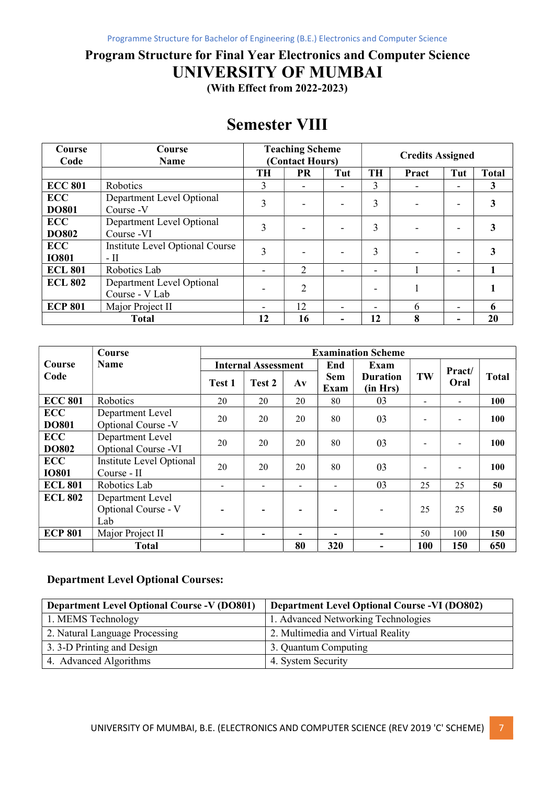## Program Structure for Final Year Electronics and Computer Science UNIVERSITY OF MUMBAI

(With Effect from 2022-2023)

# Semester VIII

| Course<br>Code             | Course<br>Name                                 | <b>Teaching Scheme</b><br>(Contact Hours) |           | <b>Credits Assigned</b> |           |       |     |              |
|----------------------------|------------------------------------------------|-------------------------------------------|-----------|-------------------------|-----------|-------|-----|--------------|
|                            |                                                | <b>TH</b>                                 | <b>PR</b> | Tut                     | <b>TH</b> | Pract | Tut | <b>Total</b> |
| <b>ECC 801</b>             | Robotics                                       | 3                                         |           |                         | 3         |       |     | 3            |
| <b>ECC</b><br><b>DO801</b> | Department Level Optional<br>Course -V         | 3                                         |           |                         | 3         |       |     | 3            |
| <b>ECC</b><br><b>DO802</b> | Department Level Optional<br>Course -VI        | 3                                         |           |                         | 3         |       |     | 3            |
| <b>ECC</b><br><b>IO801</b> | <b>Institute Level Optional Course</b><br>- II | 3                                         |           |                         | 3         |       |     | 3            |
| <b>ECL 801</b>             | Robotics Lab                                   | $\qquad \qquad \blacksquare$              | 2         |                         |           |       | -   |              |
| <b>ECL 802</b>             | Department Level Optional<br>Course - V Lab    |                                           | 2         |                         |           |       |     |              |
| <b>ECP 801</b>             | Major Project II                               |                                           | 12        |                         |           | 6     |     | 6            |
| <b>Total</b>               |                                                | 12                                        | 16        |                         | 12        | 8     |     | 20           |

|                            | Course                                         | <b>Examination Scheme</b>  |                          |               |                          |                             |                              |        |       |
|----------------------------|------------------------------------------------|----------------------------|--------------------------|---------------|--------------------------|-----------------------------|------------------------------|--------|-------|
| Course                     | <b>Name</b>                                    | <b>Internal Assessment</b> |                          |               | End                      | Exam                        |                              | Pract/ |       |
| Code                       |                                                | Test 1                     | Test 2                   | $A\mathbf{v}$ | Sem<br>Exam              | <b>Duration</b><br>(in Hrs) | TW                           | Oral   | Total |
| <b>ECC 801</b>             | Robotics                                       | 20                         | 20                       | 20            | 80                       | 03                          | $\qquad \qquad \blacksquare$ |        | 100   |
| <b>ECC</b><br><b>DO801</b> | Department Level<br>Optional Course -V         | 20                         | 20                       | 20            | 80                       | 03                          |                              |        | 100   |
| <b>ECC</b><br><b>DO802</b> | Department Level<br>Optional Course -VI        | 20                         | 20                       | 20            | 80                       | 03                          | $\blacksquare$               |        | 100   |
| <b>ECC</b><br><b>IO801</b> | Institute Level Optional<br>Course - II        | 20                         | 20                       | 20            | 80                       | 03                          | $\blacksquare$               |        | 100   |
| <b>ECL 801</b>             | Robotics Lab                                   | $\blacksquare$             |                          |               | $\overline{\phantom{a}}$ | 03                          | 25                           | 25     | 50    |
| <b>ECL 802</b>             | Department Level<br>Optional Course - V<br>Lab |                            |                          |               | $\overline{\phantom{0}}$ |                             | 25                           | 25     | 50    |
| <b>ECP 801</b>             | Major Project II                               | $\blacksquare$             | $\overline{\phantom{a}}$ |               | -                        |                             | 50                           | 100    | 150   |
|                            | <b>Total</b>                                   |                            |                          | 80            | 320                      |                             | 100                          | 150    | 650   |

#### Department Level Optional Courses:

| <b>Department Level Optional Course -V (DO801)</b> | Department Level Optional Course -VI (DO802) |
|----------------------------------------------------|----------------------------------------------|
| 1. MEMS Technology                                 | 1. Advanced Networking Technologies          |
| 2. Natural Language Processing                     | 2. Multimedia and Virtual Reality            |
| 3. 3-D Printing and Design                         | 3. Quantum Computing                         |
| 4. Advanced Algorithms                             | 4. System Security                           |